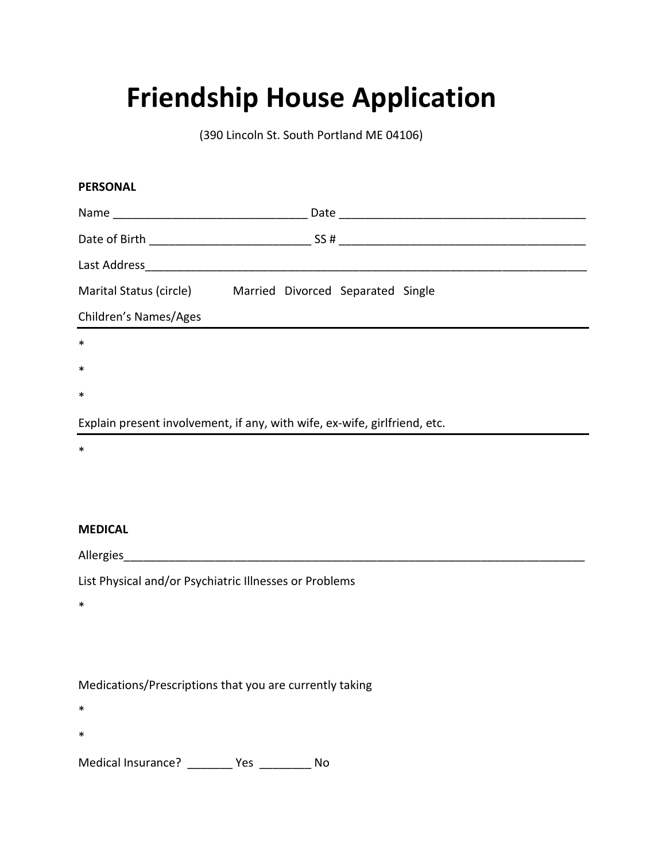## **Friendship House Application**

(390 Lincoln St. South Portland ME 04106)

| <b>PERSONAL</b>                                                           |  |
|---------------------------------------------------------------------------|--|
|                                                                           |  |
|                                                                           |  |
|                                                                           |  |
| Marital Status (circle) Married Divorced Separated Single                 |  |
| Children's Names/Ages                                                     |  |
| $\ast$                                                                    |  |
| $\ast$                                                                    |  |
| ∗                                                                         |  |
| Explain present involvement, if any, with wife, ex-wife, girlfriend, etc. |  |
| $\ast$                                                                    |  |
|                                                                           |  |
|                                                                           |  |
| <b>MEDICAL</b>                                                            |  |
|                                                                           |  |
| List Physical and/or Psychiatric Illnesses or Problems                    |  |
| ∗                                                                         |  |
|                                                                           |  |
|                                                                           |  |
| Medications/Prescriptions that you are currently taking                   |  |
| *                                                                         |  |
| ∗                                                                         |  |

Medical Insurance? \_\_\_\_\_\_\_\_ Yes \_\_\_\_\_\_\_\_\_ No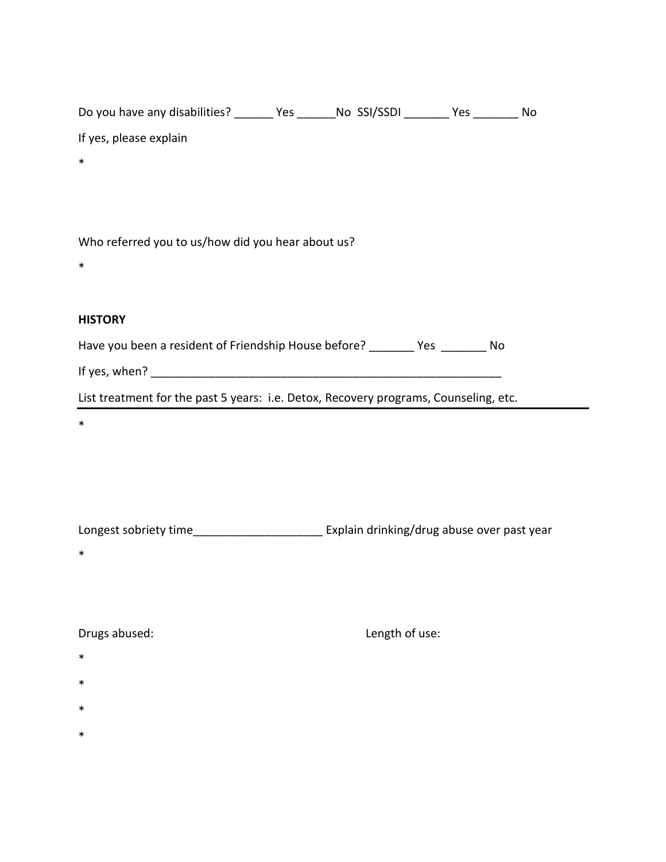| Do you have any disabilities? | Yes. | No SSI/SSDI | Yes | No. |
|-------------------------------|------|-------------|-----|-----|
| If yes, please explain        |      |             |     |     |

\*

Who referred you to us/how did you hear about us?

\*

## **HISTORY**

Have you been a resident of Friendship House before? \_\_\_\_\_\_\_ Yes \_\_\_\_\_\_\_ No

If yes, when? \_\_\_\_\_\_\_\_\_\_\_\_\_\_\_\_\_\_\_\_\_\_\_\_\_\_\_\_\_\_\_\_\_\_\_\_\_\_\_\_\_\_\_\_\_\_\_\_\_\_\_\_\_\_

List treatment for the past 5 years: i.e. Detox, Recovery programs, Counseling, etc.

\*

| Longest sobriety time | Explain drinking/drug abuse over past year |
|-----------------------|--------------------------------------------|
|                       |                                            |

\*

| Length of use: |
|----------------|
|                |

- \*
- \*
- 
- \*
- \*